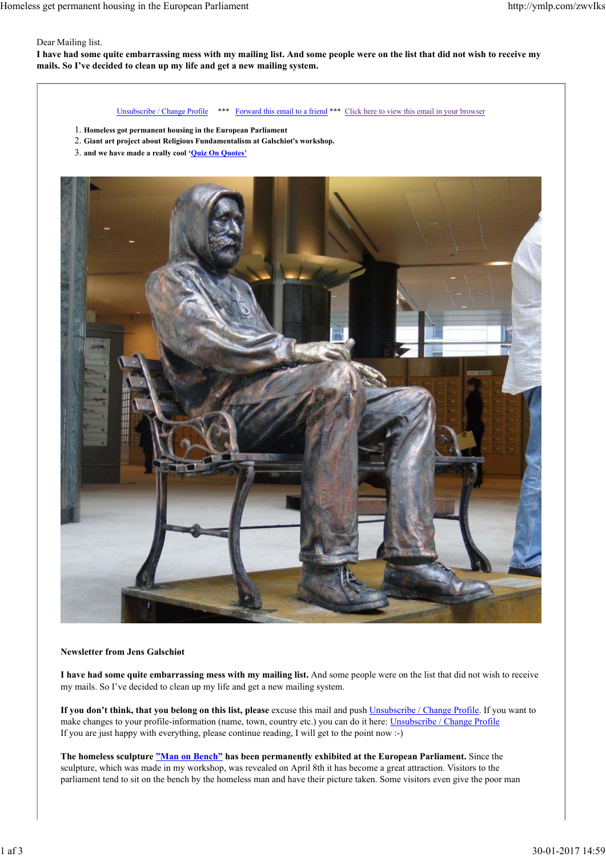### Dear Mailing list.

**I have had some quite embarrassing mess with my mailing list. And some people were on the list that did not wish to receive my mails. So I've decided to clean up my life and get a new mailing system.**

Unsubscribe / Change Profile \*\*\* Forward this email to a friend \*\*\* Click here to view this email in your browser

- 1. **Homeless got permanent housing in the European Parliament**
- 2. **Giant art project about Religious Fundamentalism at Galschiøt's workshop.**
- 3. **and we have made a really cool 'Quiz On Quotes'**



## **Newsletter from Jens Galschiøt**

**I have had some quite embarrassing mess with my mailing list.** And some people were on the list that did not wish to receive my mails. So I've decided to clean up my life and get a new mailing system.

**If you don't think, that you belong on this list, please** excuse this mail and push Unsubscribe / Change Profile. If you want to make changes to your profile-information (name, town, country etc.) you can do it here: Unsubscribe / Change Profile If you are just happy with everything, please continue reading, I will get to the point now :-)

**The homeless sculpture "Man on Bench" has been permanently exhibited at the European Parliament.** Since the sculpture, which was made in my workshop, was revealed on April 8th it has become a great attraction. Visitors to the parliament tend to sit on the bench by the homeless man and have their picture taken. Some visitors even give the poor man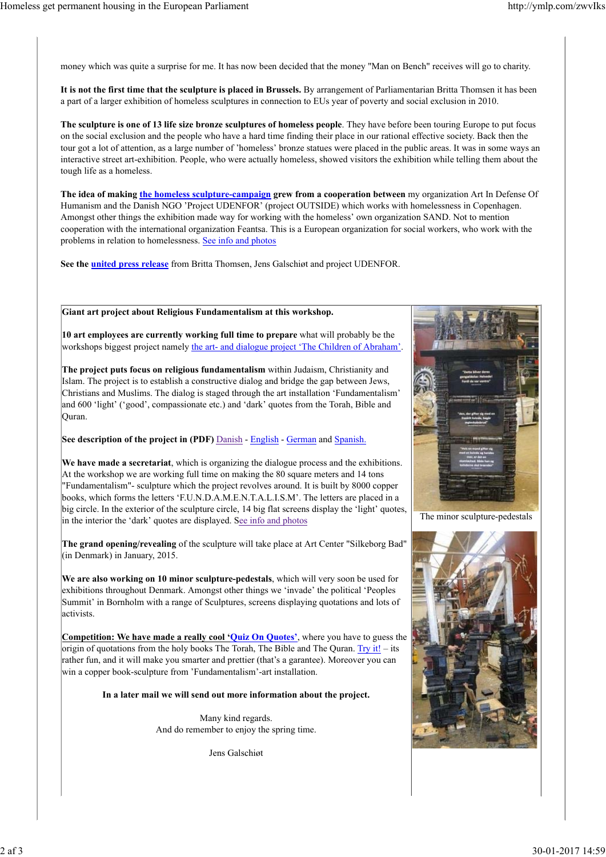money which was quite a surprise for me. It has now been decided that the money "Man on Bench" receives will go to charity.

**It is not the first time that the sculpture is placed in Brussels.** By arrangement of Parliamentarian Britta Thomsen it has been a part of a larger exhibition of homeless sculptures in connection to EUs year of poverty and social exclusion in 2010.

**The sculpture is one of 13 life size bronze sculptures of homeless people**. They have before been touring Europe to put focus on the social exclusion and the people who have a hard time finding their place in our rational effective society. Back then the tour got a lot of attention, as a large number of 'homeless' bronze statues were placed in the public areas. It was in some ways an interactive street art-exhibition. People, who were actually homeless, showed visitors the exhibition while telling them about the tough life as a homeless.

**The idea of making the homeless sculpture-campaign grew from a cooperation between** my organization Art In Defense Of Humanism and the Danish NGO 'Project UDENFOR' (project OUTSIDE) which works with homelessness in Copenhagen. Amongst other things the exhibition made way for working with the homeless' own organization SAND. Not to mention cooperation with the international organization Feantsa. This is a European organization for social workers, who work with the problems in relation to homelessness. See info and photos

**See the united press release** from Britta Thomsen, Jens Galschiøt and project UDENFOR.

# **Giant art project about Religious Fundamentalism at this workshop.**

**10 art employees are currently working full time to prepare** what will probably be the workshops biggest project namely the art- and dialogue project 'The Children of Abraham'.

**The project puts focus on religious fundamentalism** within Judaism, Christianity and Islam. The project is to establish a constructive dialog and bridge the gap between Jews, Christians and Muslims. The dialog is staged through the art installation 'Fundamentalism' and 600 'light' ('good', compassionate etc.) and 'dark' quotes from the Torah, Bible and Quran.

**See description of the project in (PDF)** Danish - English - German and Spanish.

**We have made a secretariat**, which is organizing the dialogue process and the exhibitions. At the workshop we are working full time on making the 80 square meters and 14 tons "Fundamentalism"- sculpture which the project revolves around. It is built by 8000 copper books, which forms the letters 'F.U.N.D.A.M.E.N.T.A.L.I.S.M'. The letters are placed in a big circle. In the exterior of the sculpture circle, 14 big flat screens display the 'light' quotes, in the interior the 'dark' quotes are displayed. See info and photos

**The grand opening/revealing** of the sculpture will take place at Art Center "Silkeborg Bad" (in Denmark) in January, 2015.

**We are also working on 10 minor sculpture-pedestals**, which will very soon be used for exhibitions throughout Denmark. Amongst other things we 'invade' the political 'Peoples Summit' in Bornholm with a range of Sculptures, screens displaying quotations and lots of activists.

**Competition: We have made a really cool 'Quiz On Quotes'**, where you have to guess the origin of quotations from the holy books The Torah, The Bible and The Quran. Try it! – its rather fun, and it will make you smarter and prettier (that's a garantee). Moreover you can win a copper book-sculpture from 'Fundamentalism'-art installation.

**In a later mail we will send out more information about the project.**

Many kind regards. And do remember to enjoy the spring time.

Jens Galschiøt



The minor sculpture-pedestals